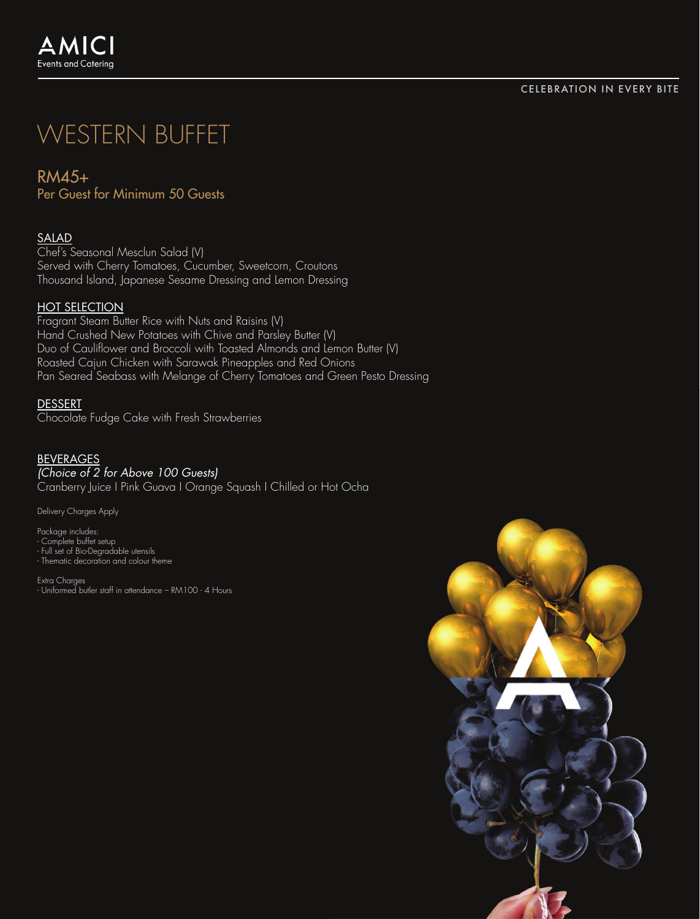# WESTERN BUFFET

RM45+ Per Guest for Minimum 50 Guests

## SALAD

Chef's Seasonal Mesclun Salad (V) Served with Cherry Tomatoes, Cucumber, Sweetcorn, Croutons Thousand Island, Japanese Sesame Dressing and Lemon Dressing

## HOT SELECTION

Fragrant Steam Butter Rice with Nuts and Raisins (V) Hand Crushed New Potatoes with Chive and Parsley Butter (V) Duo of Cauliflower and Broccoli with Toasted Almonds and Lemon Butter (V) Roasted Cajun Chicken with Sarawak Pineapples and Red Onions Pan Seared Seabass with Melange of Cherry Tomatoes and Green Pesto Dressing

### DESSERT

Chocolate Fudge Cake with Fresh Strawberries

#### BEVERAGES *(Choice of 2 for Above 100 Guests)*

Cranberry Juice I Pink Guava I Orange Squash I Chilled or Hot Ocha

Delivery Charges Apply

Package includes: - Complete buffet setup - Full set of Bio-Degradable utensils - Thematic decoration and colour theme

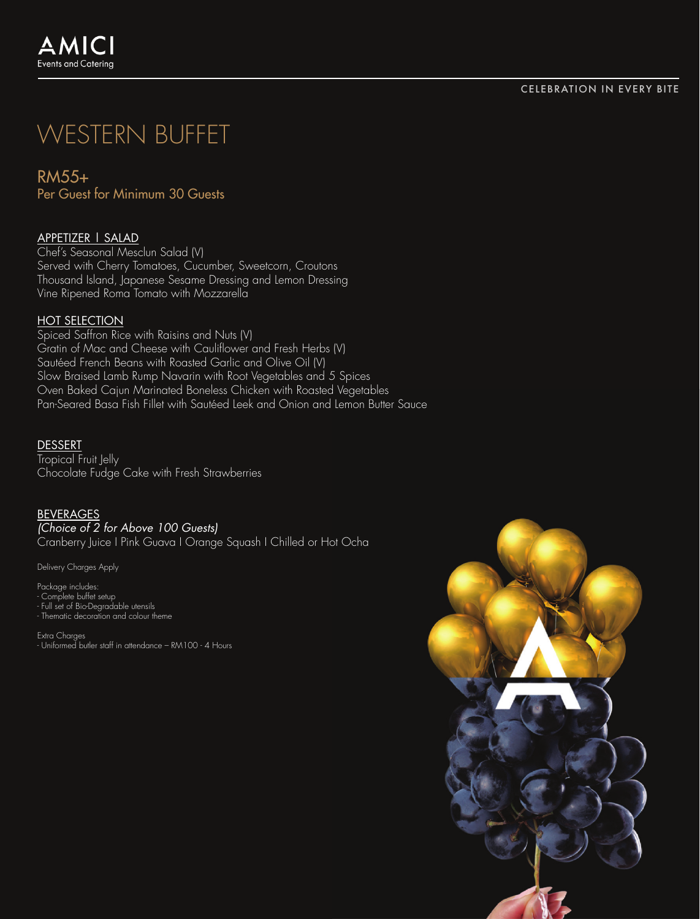# WESTERN BUFFET

RM55+ Per Guest for Minimum 30 Guests

# APPETIZER | SALAD

Chef's Seasonal Mesclun Salad (V) Served with Cherry Tomatoes, Cucumber, Sweetcorn, Croutons Thousand Island, Japanese Sesame Dressing and Lemon Dressing Vine Ripened Roma Tomato with Mozzarella

## HOT SELECTION

Spiced Saffron Rice with Raisins and Nuts (V) Gratin of Mac and Cheese with Cauliflower and Fresh Herbs (V) Sautéed French Beans with Roasted Garlic and Olive Oil (V) Slow Braised Lamb Rump Navarin with Root Vegetables and 5 Spices Oven Baked Cajun Marinated Boneless Chicken with Roasted Vegetables Pan-Seared Basa Fish Fillet with Sautéed Leek and Onion and Lemon Butter Sauce

#### DESSERT

Tropical Fruit Jelly Chocolate Fudge Cake with Fresh Strawberries

#### BEVERAGES

*(Choice of 2 for Above 100 Guests)* Cranberry Juice I Pink Guava I Orange Squash I Chilled or Hot Ocha

Delivery Charges Apply

Package includes: - Complete buffet setup - Full set of Bio-Degradable utensils - Thematic decoration and colour theme

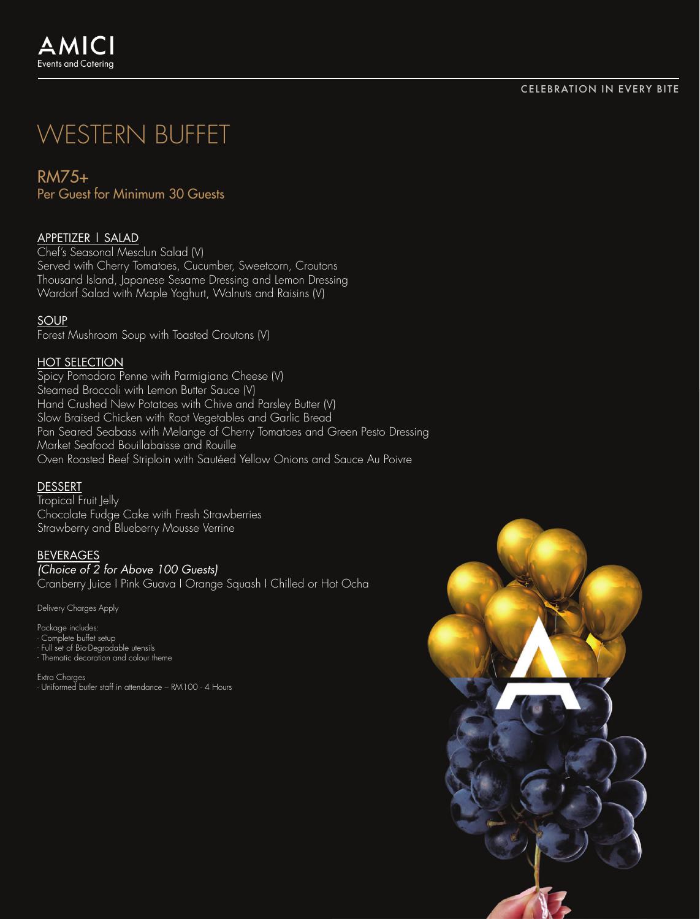# WESTERN BUFFET

RM75+ Per Guest for Minimum 30 Guests

# APPETIZER | SALAD

Chef's Seasonal Mesclun Salad (V) Served with Cherry Tomatoes, Cucumber, Sweetcorn, Croutons Thousand Island, Japanese Sesame Dressing and Lemon Dressing Wardorf Salad with Maple Yoghurt, Walnuts and Raisins (V)

## **SOUP**

Forest Mushroom Soup with Toasted Croutons (V)

## HOT SELECTION

Spicy Pomodoro Penne with Parmigiana Cheese (V) Steamed Broccoli with Lemon Butter Sauce (V) Hand Crushed New Potatoes with Chive and Parsley Butter (V) Slow Braised Chicken with Root Vegetables and Garlic Bread Pan Seared Seabass with Melange of Cherry Tomatoes and Green Pesto Dressing Market Seafood Bouillabaisse and Rouille Oven Roasted Beef Striploin with Sautéed Yellow Onions and Sauce Au Poivre

## DESSERT

Tropical Fruit Jelly Chocolate Fudge Cake with Fresh Strawberries Strawberry and Blueberry Mousse Verrine

# BEVERAGES

*(Choice of 2 for Above 100 Guests)* Cranberry Juice I Pink Guava I Orange Squash I Chilled or Hot Ocha

Delivery Charges Apply

Package includes: - Complete buffet setup - Full set of Bio-Degradable utensils - Thematic decoration and colour theme